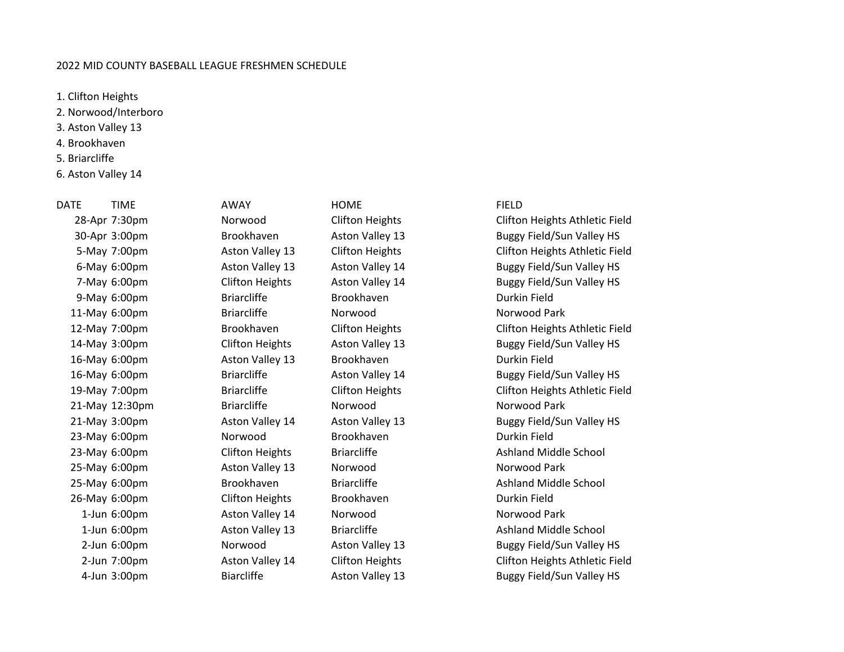## 2022 MID COUNTY BASEBALL LEAGUE FRESHMEN SCHEDULE

1. Clifton Heights

- 2. Norwood/Interboro
- 3. Aston Valley 13
- 4. Brookhaven
- 5. Briarcliffe
- 6. Aston Valley 14

DATE TIME AWAY HOME FIELD 9-May 6:00pm Briarcliffe Brookhaven Brookhaven Durkin Field 11-May 6:00pm briarcliffe Norwood Norwood Norwood Park 16-May 6:00pm Aston Valley 13 Brookhaven Durkin Field 21-May 12:30pm Briarcliffe Norwood Norwood Norwood Park 23-May 6:00pm Norwood Brookhaven Durkin Field 25-May 6:00pm Aston Valley 13 Norwood Norwood Park 26-May 6:00pm Clifton Heights Brookhaven Durkin Field 1-Jun 6:00pm Aston Valley 14 Norwood Norwood Park

28-Apr 7:30pm Norwood Clifton Heights Clifton Heights Athletic Field 30-Apr 3:00pm Brookhaven Aston Valley 13 Buggy Field/Sun Valley HS 5-May 7:00pm Aston Valley 13 Clifton Heights Clifton Heights Athletic Field 6-May 6:00pm Aston Valley 13 Aston Valley 14 Buggy Field/Sun Valley HS 7-May 6:00pm Clifton Heights Aston Valley 14 Buggy Field/Sun Valley HS 12-May 7:00pm Brookhaven Clifton Heights Clifton Heights Athletic Field 14-May 3:00pm Clifton Heights Aston Valley 13 Buggy Field/Sun Valley HS 16-May 6:00pm Briarcliffe Aston Valley 14 Buggy Field/Sun Valley HS 19-May 7:00pm Briarcliffe Clifton Heights Clifton Heights Athletic Field 21-May 3:00pm Aston Valley 14 Aston Valley 13 Buggy Field/Sun Valley HS 23-May 6:00pm Clifton Heights Briarcliffe Ashland Middle School 25-May 6:00pm Brookhaven Briarcliffe Ashland Middle School Brookhaven Briarcliffe Ashland Middle School 1-Jun 6:00pm Aston Valley 13 Briarcliffe Ashland Middle School 2-Jun 6:00pm Norwood Aston Valley 13 Buggy Field/Sun Valley HS 2-Jun 7:00pm Aston Valley 14 Clifton Heights Clifton Heights Athletic Field 4-Jun 3:00pm Biarcliffe Aston Valley 13 Buggy Field/Sun Valley HS